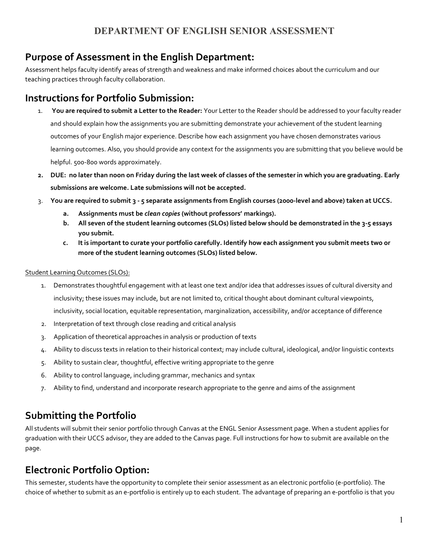# **Purpose of Assessment in the English Department:**

Assessment helps faculty identify areas of strength and weakness and make informed choices about the curriculum and our teaching practices through faculty collaboration.

### **Instructions for Portfolio Submission:**

- 1. **You are required to submit a Letter to the Reader:** Your Letter to the Reader should be addressed to your faculty reader and should explain how the assignments you are submitting demonstrate your achievement of the student learning outcomes of your English major experience. Describe how each assignment you have chosen demonstrates various learning outcomes. Also, you should provide any context for the assignments you are submitting that you believe would be helpful. 500-800 words approximately.
- 2. DUE: no later than noon on Friday during the last week of classes of the semester in which you are graduating. Early **submissions are welcome. Late submissions will not be accepted.**
- 3. You are required to submit 3 5 separate assignments from English courses (2000-level and above) taken at UCCS.
	- **a. Assignments must be** *clean copies* **(without professors' markings).**
	- b. All seven of the student learning outcomes (SLOs) listed below should be demonstrated in the 3-5 essays **you submit.**
	- c. It is important to curate your portfolio carefully. Identify how each assignment you submit meets two or **more of the student learning outcomes (SLOs) listed below.**

#### Student Learning Outcomes (SLOs):

- 1. Demonstrates thoughtful engagement with at least one text and/or idea that addresses issues of cultural diversity and inclusivity; these issues may include, but are not limited to, critical thought about dominant cultural viewpoints, inclusivity, social location, equitable representation, marginalization, accessibility, and/or acceptance of difference
- 2. Interpretation of text through close reading and critical analysis
- 3. Application of theoretical approaches in analysis or production of texts
- 4. Ability to discuss texts in relation to their historical context; may include cultural, ideological, and/or linguistic contexts
- 5. Ability to sustain clear, thoughtful, effective writing appropriate to the genre
- 6. Ability to control language, including grammar, mechanics and syntax
- 7. Ability to find, understand and incorporate research appropriate to the genre and aims of the assignment

# **Submitting the Portfolio**

All students will submit their senior portfolio through Canvas at the ENGL Senior Assessment page. When a student applies for graduation with their UCCS advisor, they are added to the Canvas page. Full instructions for how to submit are available on the page.

### **Electronic Portfolio Option:**

This semester, students have the opportunity to complete their senior assessment as an electronic portfolio (e-portfolio). The choice of whether to submit as an e-portfolio is entirely up to each student. The advantage of preparing an e-portfolio is that you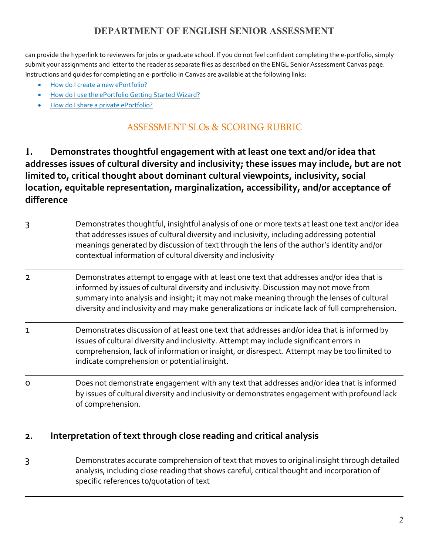can provide the hyperlink to reviewers for jobs or graduate school. If you do not feel confident completing the e-portfolio, simply submit your assignments and letter to the reader as separate files as described on the ENGL Senior Assessment Canvas page. Instructions and guides for completing an e-portfolio in Canvas are available at the following links:

- How do I create a new [ePortfolio?](https://community.canvaslms.com/docs/DOC-10568-4212710326)
- How do I use the [ePortfolio](https://community.canvaslms.com/docs/DOC-10696-4212717361) Getting Started Wizard?
- How do I share a private [ePortfolio?](https://community.canvaslms.com/docs/DOC-10490-4212717399)

# ASSESSMENT SLOs & SCORING RUBRIC

**1. Demonstrates thoughtful engagement with at least one text and/or idea that addresses issues of cultural diversity and inclusivity; these issues may include, but are not limited to, critical thought about dominant cultural viewpoints, inclusivity, social location, equitable representation, marginalization, accessibility, and/or acceptance of difference**

- 3 Demonstrates thoughtful, insightful analysis of one or more texts at least one text and/or idea that addresses issues of cultural diversity and inclusivity, including addressing potential meanings generated by discussion of text through the lens of the author's identity and/or contextual information of cultural diversity and inclusivity
- 2 Demonstrates attempt to engage with at least one text that addresses and/or idea that is informed by issues of cultural diversity and inclusivity. Discussion may not move from summary into analysis and insight; it may not make meaning through the lenses of cultural diversity and inclusivity and may make generalizations or indicate lack of full comprehension.
- 1 Demonstrates discussion of at least one text that addresses and/or idea that is informed by issues of cultural diversity and inclusivity. Attempt may include significant errors in comprehension, lack of information or insight, or disrespect. Attempt may be too limited to indicate comprehension or potential insight.
- 0 Does not demonstrate engagement with any text that addresses and/or idea that is informed by issues of cultural diversity and inclusivity or demonstrates engagement with profound lack of comprehension.

#### **2. Interpretation of text through close reading and critical analysis**

3 Demonstrates accurate comprehension of text that moves to original insight through detailed analysis, including close reading that shows careful, critical thought and incorporation of specific references to/quotation of text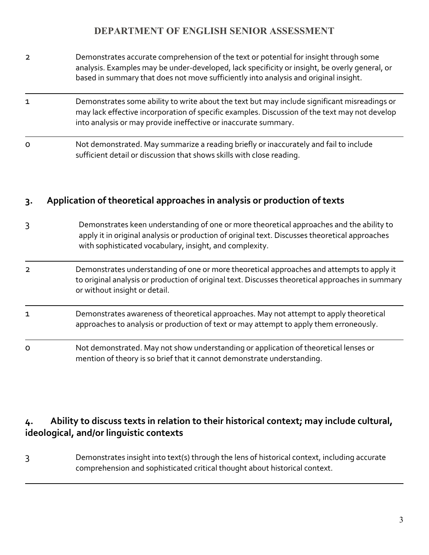- 2 Demonstrates accurate comprehension of the text or potential for insight through some analysis. Examples may be under-developed, lack specificity or insight, be overly general, or based in summary that does not move sufficiently into analysis and original insight.
- 1 Demonstrates some ability to write about the text but may include significant misreadings or may lack effective incorporation of specific examples. Discussion of the text may not develop into analysis or may provide ineffective or inaccurate summary.
- 0 Not demonstrated. May summarize a reading briefly or inaccurately and fail to include sufficient detail or discussion that shows skills with close reading.

#### **3. Application of theoretical approaches in analysis or production of texts**

- 3 Demonstrates keen understanding of one or more theoretical approaches and the ability to apply it in original analysis or production of original text. Discusses theoretical approaches with sophisticated vocabulary, insight, and complexity.
- 2 Demonstrates understanding of one or more theoretical approaches and attempts to apply it to original analysis or production of original text. Discusses theoretical approaches in summary or without insight or detail.
- 1 Demonstrates awareness of theoretical approaches. May not attempt to apply theoretical approaches to analysis or production of text or may attempt to apply them erroneously.
- 0 Not demonstrated. May not show understanding or application of theoretical lenses or mention of theory is so brief that it cannot demonstrate understanding.

### **4. Ability to discuss texts in relation to their historical context; may include cultural, ideological, and/or linguistic contexts**

3 Demonstrates insight into text(s) through the lens of historical context, including accurate comprehension and sophisticated critical thought about historical context.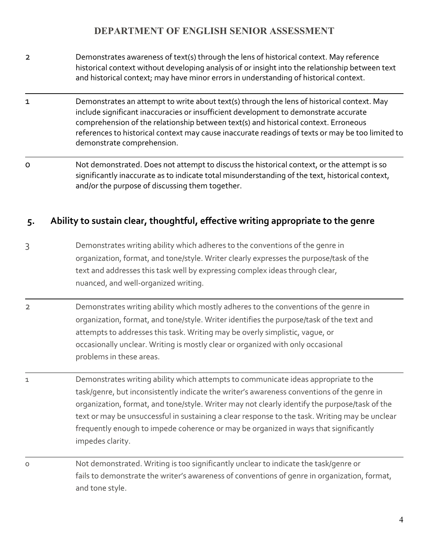- 2 Demonstrates awareness of text(s) through the lens of historical context. May reference historical context without developing analysis of or insight into the relationship between text and historical context; may have minor errors in understanding of historical context.
- 1 Demonstrates an attempt to write about text(s) through the lens of historical context. May include significant inaccuracies or insufficient development to demonstrate accurate comprehension of the relationship between text(s) and historical context. Erroneous references to historical context may cause inaccurate readings of texts or may be too limited to demonstrate comprehension.
- 0 Not demonstrated. Does not attempt to discuss the historical context, or the attempt is so significantly inaccurate as to indicate total misunderstanding of the text, historical context, and/or the purpose of discussing them together.

### **5. Ability to sustain clear, thoughtful, effective writing appropriate to the genre**

- 3 Demonstrates writing ability which adheres to the conventions of the genre in organization, format, and tone/style. Writer clearly expresses the purpose/task of the text and addresses this task well by expressing complex ideas through clear, nuanced, and well-organized writing.
- 2 Demonstrates writing ability which mostly adheres to the conventions of the genre in organization, format, and tone/style. Writer identifies the purpose/task of the text and attempts to addresses this task. Writing may be overly simplistic, vague, or occasionally unclear. Writing is mostly clear or organized with only occasional problems in these areas.
- 1 Demonstrates writing ability which attempts to communicate ideas appropriate to the task/genre, but inconsistently indicate the writer's awareness conventions of the genre in organization, format, and tone/style. Writer may not clearly identify the purpose/task of the text or may be unsuccessful in sustaining a clear response to the task. Writing may be unclear frequently enough to impede coherence or may be organized in ways that significantly impedes clarity.
- 0 Not demonstrated. Writing is too significantly unclear to indicate the task/genre or fails to demonstrate the writer's awareness of conventions of genre in organization, format, and tone style.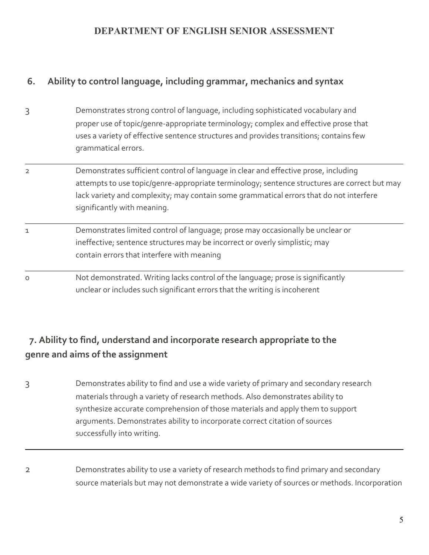# **6. Ability to control language, including grammar, mechanics and syntax**

- 3 Demonstrates strong control of language, including sophisticated vocabulary and proper use of topic/genre-appropriate terminology; complex and effective prose that uses a variety of effective sentence structures and provides transitions; contains few grammatical errors.
- 2 Demonstrates sufficient control of language in clear and effective prose, including attempts to use topic/genre-appropriate terminology; sentence structures are correct but may lack variety and complexity; may contain some grammatical errors that do not interfere significantly with meaning.
- 1 Demonstrates limited control of language; prose may occasionally be unclear or ineffective; sentence structures may be incorrect or overly simplistic; may contain errors that interfere with meaning
- 0 Not demonstrated. Writing lacks control of the language; prose is significantly unclear or includes such significant errors that the writing is incoherent

# **7. Ability to find, understand and incorporate research appropriate to the genre and aims of the assignment**

- 3 Demonstrates ability to find and use a wide variety of primary and secondary research materials through a variety of research methods. Also demonstrates ability to synthesize accurate comprehension of those materials and apply them to support arguments. Demonstrates ability to incorporate correct citation of sources successfully into writing.
- 2 Demonstrates ability to use a variety of research methods to find primary and secondary source materials but may not demonstrate a wide variety of sources or methods. Incorporation